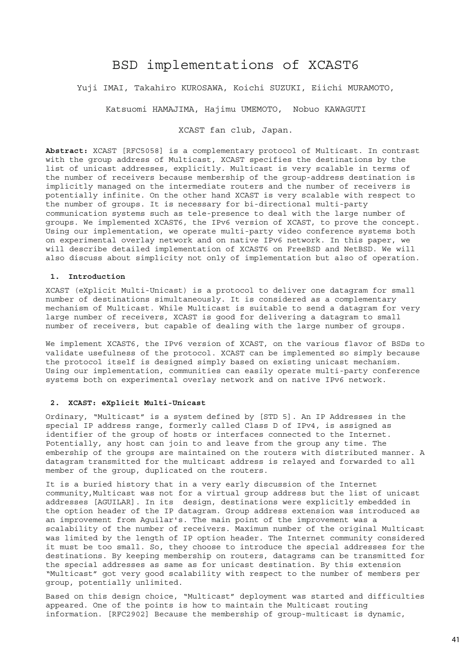# BSD implementations of XCAST6

Yuji IMAI, Takahiro KUROSAWA, Koichi SUZUKI, Eiichi MURAMOTO,

Katsuomi HAMAJIMA, Hajimu UMEMOTO, Nobuo KAWAGUTI

XCAST fan club, Japan.

**Abstract:** XCAST [RFC5058] is a complementary protocol of Multicast. In contrast with the group address of Multicast, XCAST specifies the destinations by the list of unicast addresses, explicitly. Multicast is very scalable in terms of the number of receivers because membership of the group-address destination is implicitly managed on the intermediate routers and the number of receivers is potentially infinite. On the other hand XCAST is very scalable with respect to the number of groups. It is necessary for bi-directional multi-party communication systems such as tele-presence to deal with the large number of groups. We implemented XCAST6, the IPv6 version of XCAST, to prove the concept. Using our implementation, we operate multi-party video conference systems both on experimental overlay network and on native IPv6 network. In this paper, we will describe detailed implementation of XCAST6 on FreeBSD and NetBSD. We will also discuss about simplicity not only of implementation but also of operation.

### **1. Introduction**

XCAST (eXplicit Multi-Unicast) is a protocol to deliver one datagram for small number of destinations simultaneously. It is considered as a complementary mechanism of Multicast. While Multicast is suitable to send a datagram for very large number of receivers, XCAST is good for delivering a datagram to small number of receivers, but capable of dealing with the large number of groups.

We implement XCAST6, the IPv6 version of XCAST, on the various flavor of BSDs to validate usefulness of the protocol. XCAST can be implemented so simply because the protocol itself is designed simply based on existing unicast mechanism. Using our implementation, communities can easily operate multi-party conference systems both on experimental overlay network and on native IPv6 network.

## **2. XCAST: eXplicit Multi-Unicast**

Ordinary, "Multicast" is a system defined by [STD 5]. An IP Addresses in the special IP address range, formerly called Class D of IPv4, is assigned as identifier of the group of hosts or interfaces connected to the Internet. Potentially, any host can join to and leave from the group any time. The embership of the groups are maintained on the routers with distributed manner. A datagram transmitted for the multicast address is relayed and forwarded to all member of the group, duplicated on the routers.

It is a buried history that in a very early discussion of the Internet community,Multicast was not for a virtual group address but the list of unicast addresses [AGUILAR]. In its design, destinations were explicitly embedded in the option header of the IP datagram. Group address extension was introduced as an improvement from Aguilar's. The main point of the improvement was a scalability of the number of receivers. Maximum number of the original Multicast was limited by the length of IP option header. The Internet community considered it must be too small. So, they choose to introduce the special addresses for the destinations. By keeping membership on routers, datagrams can be transmitted for the special addresses as same as for unicast destination. By this extension "Multicast" got very good scalability with respect to the number of members per group, potentially unlimited.

Based on this design choice, "Multicast" deployment was started and difficulties appeared. One of the points is how to maintain the Multicast routing information. [RFC2902] Because the membership of group-multicast is dynamic,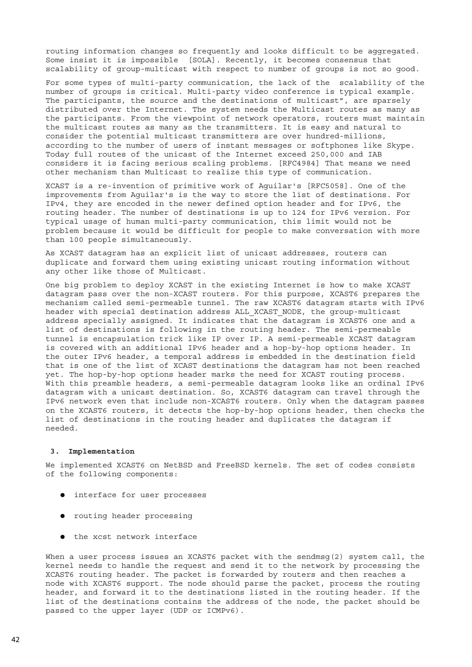routing information changes so frequently and looks difficult to be aggregated. Some insist it is impossible [SOLA]. Recently, it becomes consensus that scalability of group-multicast with respect to number of groups is not so good.

For some types of multi-party communication, the lack of the scalability of the number of groups is critical. Multi-party video conference is typical example. The participants, the source and the destinations of multicast", are sparsely distributed over the Internet. The system needs the Multicast routes as many as the participants. From the viewpoint of network operators, routers must maintain the multicast routes as many as the transmitters. It is easy and natural to consider the potential multicast transmitters are over hundred-millions, according to the number of users of instant messages or softphones like Skype. Today full routes of the unicast of the Internet exceed 250,000 and IAB considers it is facing serious scaling problems. [RFC4984] That means we need other mechanism than Multicast to realize this type of communication.

XCAST is a re-invention of primitive work of Aguilar's [RFC5058]. One of the improvements from Aguilar's is the way to store the list of destinations. For IPv4, they are encoded in the newer defined option header and for IPv6, the routing header. The number of destinations is up to 124 for IPv6 version. For typical usage of human multi-party communication, this limit would not be problem because it would be difficult for people to make conversation with more than 100 people simultaneously.

As XCAST datagram has an explicit list of unicast addresses, routers can duplicate and forward them using existing unicast routing information without any other like those of Multicast.

One big problem to deploy XCAST in the existing Internet is how to make XCAST datagram pass over the non-XCAST routers. For this purpose, XCAST6 prepares the mechanism called semi-permeable tunnel. The raw XCAST6 datagram starts with IPv6 header with special destination address ALL\_XCAST NODE, the group-multicast address specially assigned. It indicates that the datagram is XCAST6 one and a list of destinations is following in the routing header. The semi-permeable tunnel is encapsulation trick like IP over IP. A semi-permeable XCAST datagram is covered with an additional IPv6 header and a hop-by-hop options header. In the outer IPv6 header, a temporal address is embedded in the destination field that is one of the list of XCAST destinations the datagram has not been reached yet. The hop-by-hop options header marks the need for XCAST routing process. With this preamble headers, a semi-permeable datagram looks like an ordinal IPv6 datagram with a unicast destination. So, XCAST6 datagram can travel through the IPv6 network even that include non-XCAST6 routers. Only when the datagram passes on the XCAST6 routers, it detects the hop-by-hop options header, then checks the list of destinations in the routing header and duplicates the datagram if needed.

## **3. Implementation**

We implemented XCAST6 on NetBSD and FreeBSD kernels. The set of codes consists of the following components:

- $\bullet$  interface for user processes
- $\bullet$  routing header processing
- $\bullet$  the xcst network interface

When a user process issues an XCAST6 packet with the sendmsg(2) system call, the kernel needs to handle the request and send it to the network by processing the XCAST6 routing header. The packet is forwarded by routers and then reaches a node with XCAST6 support. The node should parse the packet, process the routing header, and forward it to the destinations listed in the routing header. If the list of the destinations contains the address of the node, the packet should be passed to the upper layer (UDP or ICMPv6).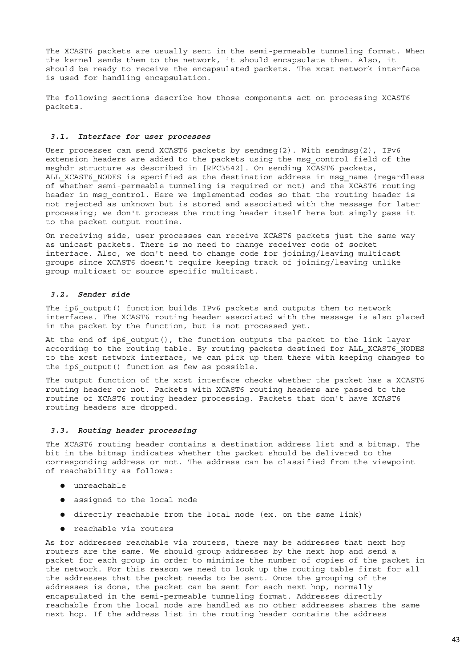The XCAST6 packets are usually sent in the semi-permeable tunneling format. When the kernel sends them to the network, it should encapsulate them. Also, it should be ready to receive the encapsulated packets. The xcst network interface is used for handling encapsulation.

The following sections describe how those components act on processing XCAST6 packets.

#### *3.1. Interface for user processes*

User processes can send XCAST6 packets by sendmsg(2). With sendmsg(2), IPv6 extension headers are added to the packets using the msg\_control field of the msghdr structure as described in [RFC3542]. On sending XCAST6 packets, ALL XCAST6 NODES is specified as the destination address in msq name (regardless of whether semi-permeable tunneling is required or not) and the XCAST6 routing header in msg control. Here we implemented codes so that the routing header is not rejected as unknown but is stored and associated with the message for later processing; we don't process the routing header itself here but simply pass it to the packet output routine.

On receiving side, user processes can receive XCAST6 packets just the same way as unicast packets. There is no need to change receiver code of socket interface. Also, we don't need to change code for joining/leaving multicast groups since XCAST6 doesn't require keeping track of joining/leaving unlike group multicast or source specific multicast.

## *3.2. Sender side*

The ip6 output() function builds IPv6 packets and outputs them to network interfaces. The XCAST6 routing header associated with the message is also placed in the packet by the function, but is not processed yet.

At the end of ip6\_output(), the function outputs the packet to the link layer according to the routing table. By routing packets destined for ALL XCAST6 NODES to the xcst network interface, we can pick up them there with keeping changes to the ip6 output() function as few as possible.

The output function of the xcst interface checks whether the packet has a XCAST6 routing header or not. Packets with XCAST6 routing headers are passed to the routine of XCAST6 routing header processing. Packets that don't have XCAST6 routing headers are dropped.

### *3.3. Routing header processing*

The XCAST6 routing header contains a destination address list and a bitmap. The bit in the bitmap indicates whether the packet should be delivered to the corresponding address or not. The address can be classified from the viewpoint of reachability as follows:

- $\bullet$  unreachable
- $\bullet$  assigned to the local node
- $\bullet$  directly reachable from the local node (ex. on the same link)
- $\bullet$  reachable via routers

As for addresses reachable via routers, there may be addresses that next hop routers are the same. We should group addresses by the next hop and send a packet for each group in order to minimize the number of copies of the packet in the network. For this reason we need to look up the routing table first for all the addresses that the packet needs to be sent. Once the grouping of the addresses is done, the packet can be sent for each next hop, normally encapsulated in the semi-permeable tunneling format. Addresses directly reachable from the local node are handled as no other addresses shares the same next hop. If the address list in the routing header contains the address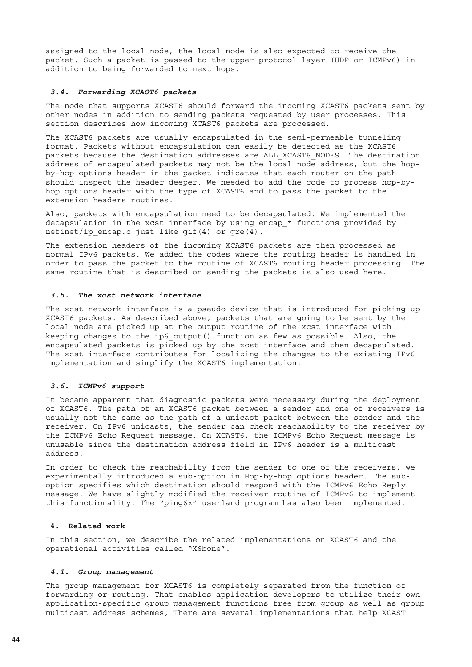assigned to the local node, the local node is also expected to receive the packet. Such a packet is passed to the upper protocol layer (UDP or ICMPv6) in addition to being forwarded to next hops.

## *3.4. Forwarding XCAST6 packets*

The node that supports XCAST6 should forward the incoming XCAST6 packets sent by other nodes in addition to sending packets requested by user processes. This section describes how incoming XCAST6 packets are processed.

The XCAST6 packets are usually encapsulated in the semi-permeable tunneling format. Packets without encapsulation can easily be detected as the XCAST6 packets because the destination addresses are ALL XCAST6 NODES. The destination address of encapsulated packets may not be the local node address, but the hopby-hop options header in the packet indicates that each router on the path should inspect the header deeper. We needed to add the code to process hop-byhop options header with the type of XCAST6 and to pass the packet to the extension headers routines.

Also, packets with encapsulation need to be decapsulated. We implemented the decapsulation in the xcst interface by using encap\_\* functions provided by netinet/ip encap.c just like gif(4) or gre(4).

The extension headers of the incoming XCAST6 packets are then processed as normal IPv6 packets. We added the codes where the routing header is handled in order to pass the packet to the routine of XCAST6 routing header processing. The same routine that is described on sending the packets is also used here.

## *3.5. The xcst network interface*

The xcst network interface is a pseudo device that is introduced for picking up XCAST6 packets. As described above, packets that are going to be sent by the local node are picked up at the output routine of the xcst interface with keeping changes to the ip6\_output() function as few as possible. Also, the encapsulated packets is picked up by the xcst interface and then decapsulated. The xcst interface contributes for localizing the changes to the existing IPv6 implementation and simplify the XCAST6 implementation.

## *3.6. ICMPv6 support*

It became apparent that diagnostic packets were necessary during the deployment of XCAST6. The path of an XCAST6 packet between a sender and one of receivers is usually not the same as the path of a unicast packet between the sender and the receiver. On IPv6 unicasts, the sender can check reachability to the receiver by the ICMPv6 Echo Request message. On XCAST6, the ICMPv6 Echo Request message is unusable since the destination address field in IPv6 header is a multicast address.

In order to check the reachability from the sender to one of the receivers, we experimentally introduced a sub-option in Hop-by-hop options header. The suboption specifies which destination should respond with the ICMPv6 Echo Reply message. We have slightly modified the receiver routine of ICMPv6 to implement this functionality. The "ping6x" userland program has also been implemented.

## **4. Related work**

In this section, we describe the related implementations on XCAST6 and the operational activities called "X6bone".

### *4.1. Group management*

The group management for XCAST6 is completely separated from the function of forwarding or routing. That enables application developers to utilize their own application-specific group management functions free from group as well as group multicast address schemes, There are several implementations that help XCAST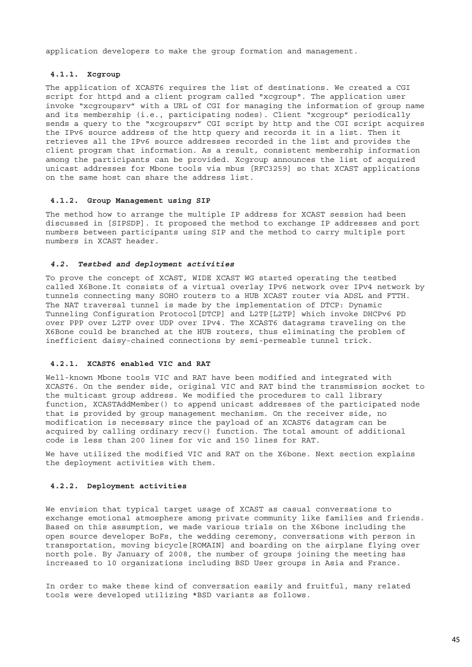application developers to make the group formation and management.

## **4.1.1. Xcgroup**

The application of XCAST6 requires the list of destinations. We created a CGI script for httpd and a client program called "xcgroup". The application user invoke "xcgroupsrv" with a URL of CGI for managing the information of group name and its membership (i.e., participating nodes). Client "xcgroup" periodically sends a query to the "xcgroupsrv" CGI script by http and the CGI script acquires the IPv6 source address of the http query and records it in a list. Then it retrieves all the IPv6 source addresses recorded in the list and provides the client program that information. As a result, consistent membership information among the participants can be provided. Xcgroup announces the list of acquired unicast addresses for Mbone tools via mbus [RFC3259] so that XCAST applications on the same host can share the address list.

## **4.1.2. Group Management using SIP**

The method how to arrange the multiple IP address for XCAST session had been discussed in [SIPSDP]. It proposed the method to exchange IP addresses and port numbers between participants using SIP and the method to carry multiple port numbers in XCAST header.

## *4.2. Testbed and deployment activities*

To prove the concept of XCAST, WIDE XCAST WG started operating the testbed called X6Bone.It consists of a virtual overlay IPv6 network over IPv4 network by tunnels connecting many SOHO routers to a HUB XCAST router via ADSL and FTTH. The NAT traversal tunnel is made by the implementation of DTCP: Dynamic Tunneling Configuration Protocol[DTCP] and L2TP[L2TP] which invoke DHCPv6 PD over PPP over L2TP over UDP over IPv4. The XCAST6 datagrams traveling on the X6Bone could be branched at the HUB routers, thus eliminating the problem of inefficient daisy-chained connections by semi-permeable tunnel trick.

## **4.2.1. XCAST6 enabled VIC and RAT**

Well-known Mbone tools VIC and RAT have been modified and integrated with XCAST6. On the sender side, original VIC and RAT bind the transmission socket to the multicast group address. We modified the procedures to call library function, XCASTAddMember() to append unicast addresses of the participated node that is provided by group management mechanism. On the receiver side, no modification is necessary since the payload of an XCAST6 datagram can be acquired by calling ordinary recv() function. The total amount of additional code is less than 200 lines for vic and 150 lines for RAT.

We have utilized the modified VIC and RAT on the X6bone. Next section explains the deployment activities with them.

### **4.2.2. Deployment activities**

We envision that typical target usage of XCAST as casual conversations to exchange emotional atmosphere among private community like families and friends. Based on this assumption, we made various trials on the X6bone including the open source developer BoFs, the wedding ceremony, conversations with person in transportation, moving bicycle[ROMAIN] and boarding on the airplane flying over north pole. By January of 2008, the number of groups joining the meeting has increased to 10 organizations including BSD User groups in Asia and France.

In order to make these kind of conversation easily and fruitful, many related tools were developed utilizing \*BSD variants as follows.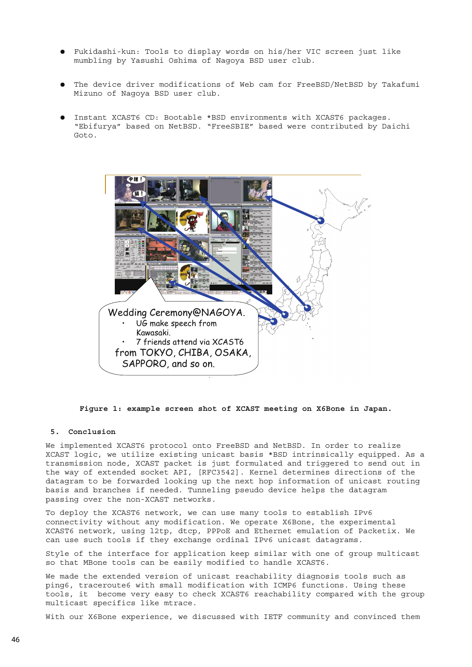- $\bullet$  Fukidashi-kun: Tools to display words on his/her VIC screen just like mumbling by Yasushi Oshima of Nagoya BSD user club.
- $\bullet$  The device driver modifications of Web cam for FreeBSD/NetBSD by Takafumi Mizuno of Nagoya BSD user club.
- $\bullet$  Instant XCAST6 CD: Bootable \*BSD environments with XCAST6 packages. "Ebifurya" based on NetBSD. "FreeSBIE" based were contributed by Daichi Goto.



**Figure 1: example screen shot of XCAST meeting on X6Bone in Japan.**

## **5. Conclusion**

We implemented XCAST6 protocol onto FreeBSD and NetBSD. In order to realize XCAST logic, we utilize existing unicast basis \*BSD intrinsically equipped. As a transmission node, XCAST packet is just formulated and triggered to send out in the way of extended socket API, [RFC3542]. Kernel determines directions of the datagram to be forwarded looking up the next hop information of unicast routing basis and branches if needed. Tunneling pseudo device helps the datagram passing over the non-XCAST networks.

To deploy the XCAST6 network, we can use many tools to establish IPv6 connectivity without any modification. We operate X6Bone, the experimental XCAST6 network, using l2tp, dtcp, PPPoE and Ethernet emulation of Packetix. We can use such tools if they exchange ordinal IPv6 unicast datagrams.

Style of the interface for application keep similar with one of group multicast so that MBone tools can be easily modified to handle XCAST6.

We made the extended version of unicast reachability diagnosis tools such as ping6, traceroute6 with small modification with ICMP6 functions. Using these tools, it become very easy to check XCAST6 reachability compared with the group multicast specifics like mtrace.

With our X6Bone experience, we discussed with IETF community and convinced them